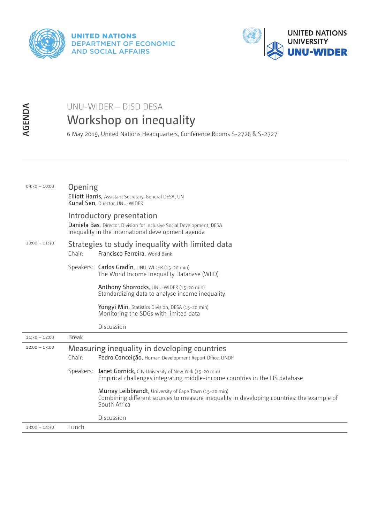



## UNU-WIDER – DISD DESA Workshop on inequality

|                 | UNU-WIDER – DISD DESA<br>Workshop on inequality<br>6 May 2019, United Nations Headquarters, Conference Rooms S-2726 & S-2727 |                                                                                                                                                                     |  |
|-----------------|------------------------------------------------------------------------------------------------------------------------------|---------------------------------------------------------------------------------------------------------------------------------------------------------------------|--|
| AGENDA          |                                                                                                                              |                                                                                                                                                                     |  |
|                 |                                                                                                                              |                                                                                                                                                                     |  |
|                 |                                                                                                                              |                                                                                                                                                                     |  |
|                 |                                                                                                                              |                                                                                                                                                                     |  |
|                 |                                                                                                                              |                                                                                                                                                                     |  |
| $09:30 - 10:00$ | Opening                                                                                                                      |                                                                                                                                                                     |  |
|                 |                                                                                                                              | Elliott Harris, Assistant Secretary-General DESA, UN<br>Kunal Sen, Director, UNU-WIDER                                                                              |  |
|                 |                                                                                                                              | Introductory presentation                                                                                                                                           |  |
|                 | Daniela Bas, Director, Division for Inclusive Social Development, DESA<br>Inequality in the international development agenda |                                                                                                                                                                     |  |
| $10:00 - 11:30$ | Strategies to study inequality with limited data                                                                             |                                                                                                                                                                     |  |
|                 | Chair:                                                                                                                       | Francisco Ferreira, World Bank                                                                                                                                      |  |
|                 |                                                                                                                              | Speakers: Carlos Gradín, UNU-WIDER (15-20 min)<br>The World Income Inequality Database (WIID)                                                                       |  |
|                 |                                                                                                                              | Anthony Shorrocks, UNU-WIDER (15-20 min)<br>Standardizing data to analyse income inequality                                                                         |  |
|                 |                                                                                                                              | Yongyi Min, Statistics Division, DESA (15-20 min)<br>Monitoring the SDGs with limited data                                                                          |  |
|                 |                                                                                                                              | Discussion                                                                                                                                                          |  |
| $11:30 - 12:00$ | <b>Break</b>                                                                                                                 |                                                                                                                                                                     |  |
| $12:00 - 13:00$ | Chair:                                                                                                                       | Measuring inequality in developing countries<br>Pedro Conceição, Human Development Report Office, UNDP                                                              |  |
|                 |                                                                                                                              | Speakers: Janet Gornick, City University of New York (15-20 min)<br>Empirical challenges integrating middle-income countries in the LIS database                    |  |
|                 |                                                                                                                              | Murray Leibbrandt, University of Cape Town (15-20 min)<br>Combining different sources to measure inequality in developing countries: the example of<br>South Africa |  |
|                 |                                                                                                                              | Discussion                                                                                                                                                          |  |
| $13:00 - 14:30$ | Lunch                                                                                                                        |                                                                                                                                                                     |  |